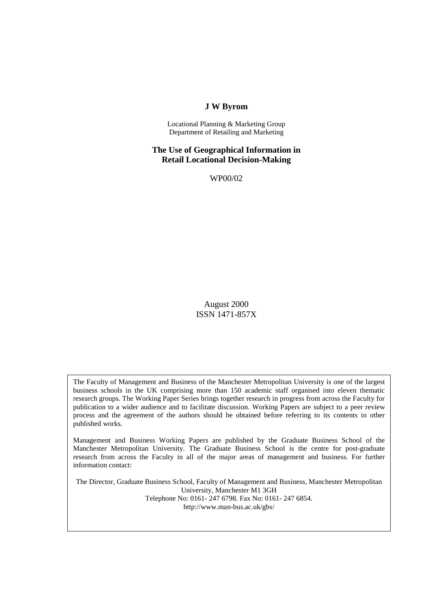## **J W Byrom**

Locational Planning & Marketing Group Department of Retailing and Marketing

**The Use of Geographical Information in Retail Locational Decision-Making**

WP00/02

August 2000 ISSN 1471-857X

The Faculty of Management and Business of the Manchester Metropolitan University is one of the largest business schools in the UK comprising more than 150 academic staff organised into eleven thematic research groups. The Working Paper Series brings together research in progress from across the Faculty for publication to a wider audience and to facilitate discussion. Working Papers are subject to a peer review process and the agreement of the authors should be obtained before referring to its contents in other published works.

Management and Business Working Papers are published by the Graduate Business School of the Manchester Metropolitan University. The Graduate Business School is the centre for post-graduate research from across the Faculty in all of the major areas of management and business. For further information contact:

The Director, Graduate Business School, Faculty of Management and Business, Manchester Metropolitan University, Manchester M1 3GH Telephone No: 0161- 247 6798. Fax No: 0161- 247 6854. http://www.man-bus.ac.uk/gbs/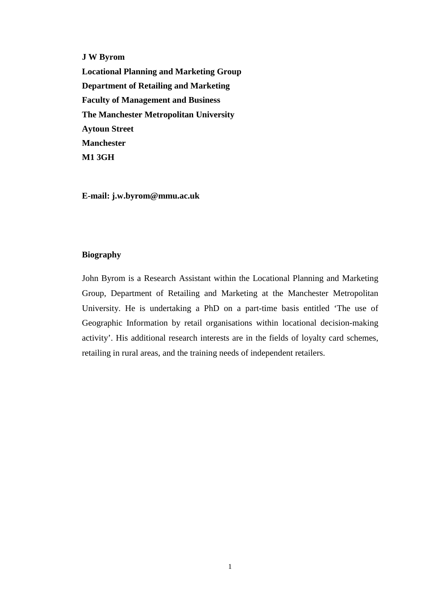**J W Byrom**

**Locational Planning and Marketing Group Department of Retailing and Marketing Faculty of Management and Business The Manchester Metropolitan University Aytoun Street Manchester M1 3GH**

**E-mail: j.w.byrom@mmu.ac.uk**

### **Biography**

John Byrom is a Research Assistant within the Locational Planning and Marketing Group, Department of Retailing and Marketing at the Manchester Metropolitan University. He is undertaking a PhD on a part-time basis entitled 'The use of Geographic Information by retail organisations within locational decision-making activity'. His additional research interests are in the fields of loyalty card schemes, retailing in rural areas, and the training needs of independent retailers.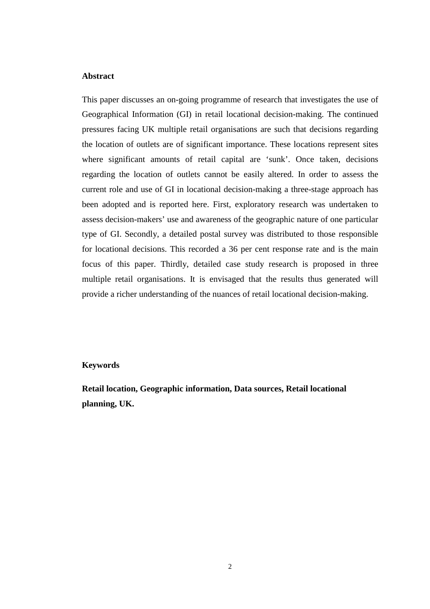## **Abstract**

This paper discusses an on-going programme of research that investigates the use of Geographical Information (GI) in retail locational decision-making. The continued pressures facing UK multiple retail organisations are such that decisions regarding the location of outlets are of significant importance. These locations represent sites where significant amounts of retail capital are 'sunk'. Once taken, decisions regarding the location of outlets cannot be easily altered. In order to assess the current role and use of GI in locational decision-making a three-stage approach has been adopted and is reported here. First, exploratory research was undertaken to assess decision-makers' use and awareness of the geographic nature of one particular type of GI. Secondly, a detailed postal survey was distributed to those responsible for locational decisions. This recorded a 36 per cent response rate and is the main focus of this paper. Thirdly, detailed case study research is proposed in three multiple retail organisations. It is envisaged that the results thus generated will provide a richer understanding of the nuances of retail locational decision-making.

#### **Keywords**

**Retail location, Geographic information, Data sources, Retail locational planning, UK.**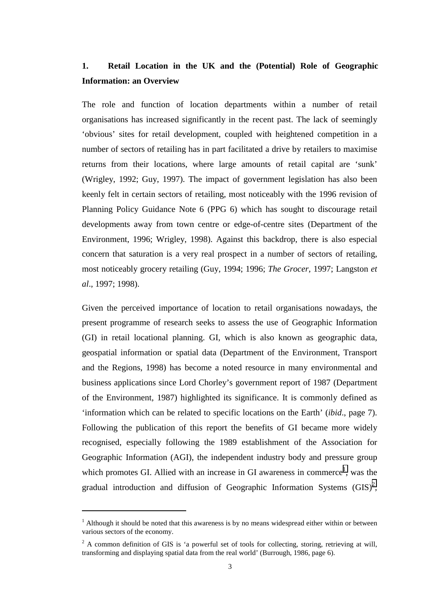# **1. Retail Location in the UK and the (Potential) Role of Geographic Information: an Overview**

The role and function of location departments within a number of retail organisations has increased significantly in the recent past. The lack of seemingly 'obvious' sites for retail development, coupled with heightened competition in a number of sectors of retailing has in part facilitated a drive by retailers to maximise returns from their locations, where large amounts of retail capital are 'sunk' (Wrigley, 1992; Guy, 1997). The impact of government legislation has also been keenly felt in certain sectors of retailing, most noticeably with the 1996 revision of Planning Policy Guidance Note 6 (PPG 6) which has sought to discourage retail developments away from town centre or edge-of-centre sites (Department of the Environment, 1996; Wrigley, 1998). Against this backdrop, there is also especial concern that saturation is a very real prospect in a number of sectors of retailing, most noticeably grocery retailing (Guy, 1994; 1996; *The Grocer*, 1997; Langston *et al*., 1997; 1998).

Given the perceived importance of location to retail organisations nowadays, the present programme of research seeks to assess the use of Geographic Information (GI) in retail locational planning. GI, which is also known as geographic data, geospatial information or spatial data (Department of the Environment, Transport and the Regions, 1998) has become a noted resource in many environmental and business applications since Lord Chorley's government report of 1987 (Department of the Environment, 1987) highlighted its significance. It is commonly defined as 'information which can be related to specific locations on the Earth' (*ibid*., page 7). Following the publication of this report the benefits of GI became more widely recognised, especially following the 1989 establishment of the Association for Geographic Information (AGI), the independent industry body and pressure group which promotes GI. Allied with an increase in GI awareness in commerce<sup>1</sup>, was the gradual introduction and diffusion of Geographic Information Systems  $(GIS)^2$ ,

 $\overline{a}$ 

 $<sup>1</sup>$  Although it should be noted that this awareness is by no means widespread either within or between</sup> various sectors of the economy.

 $2^2$  A common definition of GIS is 'a powerful set of tools for collecting, storing, retrieving at will, transforming and displaying spatial data from the real world' (Burrough, 1986, page 6).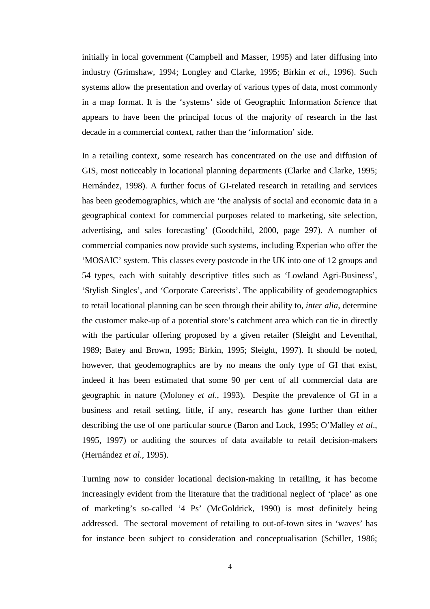initially in local government (Campbell and Masser, 1995) and later diffusing into industry (Grimshaw, 1994; Longley and Clarke, 1995; Birkin *et al*., 1996). Such systems allow the presentation and overlay of various types of data, most commonly in a map format. It is the 'systems' side of Geographic Information *Science* that appears to have been the principal focus of the majority of research in the last decade in a commercial context, rather than the 'information' side.

In a retailing context, some research has concentrated on the use and diffusion of GIS, most noticeably in locational planning departments (Clarke and Clarke, 1995; Hernández, 1998). A further focus of GI-related research in retailing and services has been geodemographics, which are 'the analysis of social and economic data in a geographical context for commercial purposes related to marketing, site selection, advertising, and sales forecasting' (Goodchild, 2000, page 297). A number of commercial companies now provide such systems, including Experian who offer the 'MOSAIC' system. This classes every postcode in the UK into one of 12 groups and 54 types, each with suitably descriptive titles such as 'Lowland Agri-Business', 'Stylish Singles', and 'Corporate Careerists'. The applicability of geodemographics to retail locational planning can be seen through their ability to, *inter alia*, determine the customer make-up of a potential store's catchment area which can tie in directly with the particular offering proposed by a given retailer (Sleight and Leventhal, 1989; Batey and Brown, 1995; Birkin, 1995; Sleight, 1997). It should be noted, however, that geodemographics are by no means the only type of GI that exist, indeed it has been estimated that some 90 per cent of all commercial data are geographic in nature (Moloney *et al*., 1993). Despite the prevalence of GI in a business and retail setting, little, if any, research has gone further than either describing the use of one particular source (Baron and Lock, 1995; O'Malley *et al*., 1995, 1997) or auditing the sources of data available to retail decision-makers (Hernández *et al*., 1995).

Turning now to consider locational decision-making in retailing, it has become increasingly evident from the literature that the traditional neglect of 'place' as one of marketing's so-called '4 Ps' (McGoldrick, 1990) is most definitely being addressed. The sectoral movement of retailing to out-of-town sites in 'waves' has for instance been subject to consideration and conceptualisation (Schiller, 1986;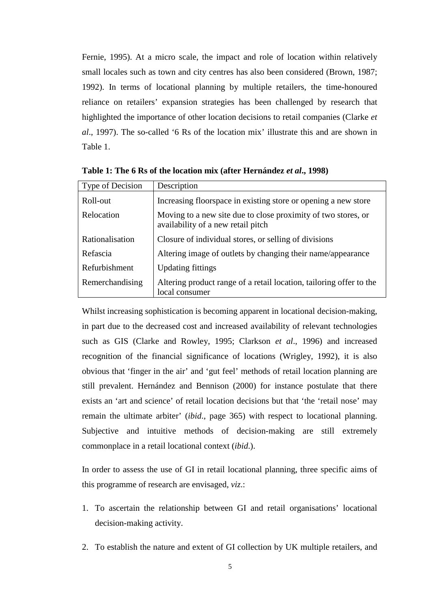Fernie, 1995). At a micro scale, the impact and role of location within relatively small locales such as town and city centres has also been considered (Brown, 1987; 1992). In terms of locational planning by multiple retailers, the time-honoured reliance on retailers' expansion strategies has been challenged by research that highlighted the importance of other location decisions to retail companies (Clarke *et al*., 1997). The so-called '6 Rs of the location mix' illustrate this and are shown in Table 1.

| Type of Decision | Description                                                                                         |
|------------------|-----------------------------------------------------------------------------------------------------|
| Roll-out         | Increasing floorspace in existing store or opening a new store                                      |
| Relocation       | Moving to a new site due to close proximity of two stores, or<br>availability of a new retail pitch |
| Rationalisation  | Closure of individual stores, or selling of divisions                                               |
| Refascia         | Altering image of outlets by changing their name/appearance                                         |
| Refurbishment    | <b>Updating fittings</b>                                                                            |
| Remerchandising  | Altering product range of a retail location, tailoring offer to the<br>local consumer               |

**Table 1: The 6 Rs of the location mix (after Hernández** *et al***., 1998)**

Whilst increasing sophistication is becoming apparent in locational decision-making, in part due to the decreased cost and increased availability of relevant technologies such as GIS (Clarke and Rowley, 1995; Clarkson *et al*., 1996) and increased recognition of the financial significance of locations (Wrigley, 1992), it is also obvious that 'finger in the air' and 'gut feel' methods of retail location planning are still prevalent. Hernández and Bennison (2000) for instance postulate that there exists an 'art and science' of retail location decisions but that 'the 'retail nose' may remain the ultimate arbiter' (*ibid*., page 365) with respect to locational planning. Subjective and intuitive methods of decision-making are still extremely commonplace in a retail locational context (*ibid*.).

In order to assess the use of GI in retail locational planning, three specific aims of this programme of research are envisaged, *viz*.:

- 1. To ascertain the relationship between GI and retail organisations' locational decision-making activity.
- 2. To establish the nature and extent of GI collection by UK multiple retailers, and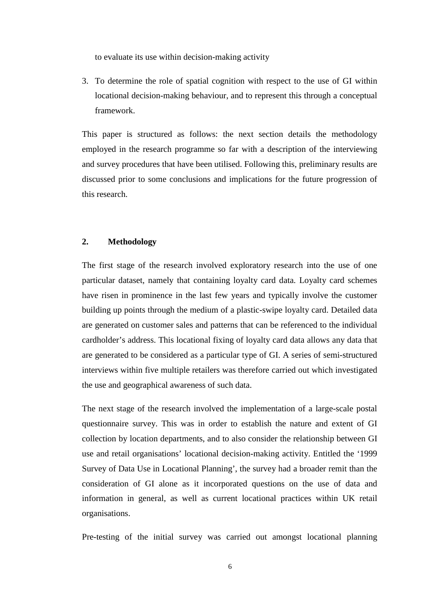to evaluate its use within decision-making activity

3. To determine the role of spatial cognition with respect to the use of GI within locational decision-making behaviour, and to represent this through a conceptual framework.

This paper is structured as follows: the next section details the methodology employed in the research programme so far with a description of the interviewing and survey procedures that have been utilised. Following this, preliminary results are discussed prior to some conclusions and implications for the future progression of this research.

## **2. Methodology**

The first stage of the research involved exploratory research into the use of one particular dataset, namely that containing loyalty card data. Loyalty card schemes have risen in prominence in the last few years and typically involve the customer building up points through the medium of a plastic-swipe loyalty card. Detailed data are generated on customer sales and patterns that can be referenced to the individual cardholder's address. This locational fixing of loyalty card data allows any data that are generated to be considered as a particular type of GI. A series of semi-structured interviews within five multiple retailers was therefore carried out which investigated the use and geographical awareness of such data.

The next stage of the research involved the implementation of a large-scale postal questionnaire survey. This was in order to establish the nature and extent of GI collection by location departments, and to also consider the relationship between GI use and retail organisations' locational decision-making activity. Entitled the '1999 Survey of Data Use in Locational Planning', the survey had a broader remit than the consideration of GI alone as it incorporated questions on the use of data and information in general, as well as current locational practices within UK retail organisations.

Pre-testing of the initial survey was carried out amongst locational planning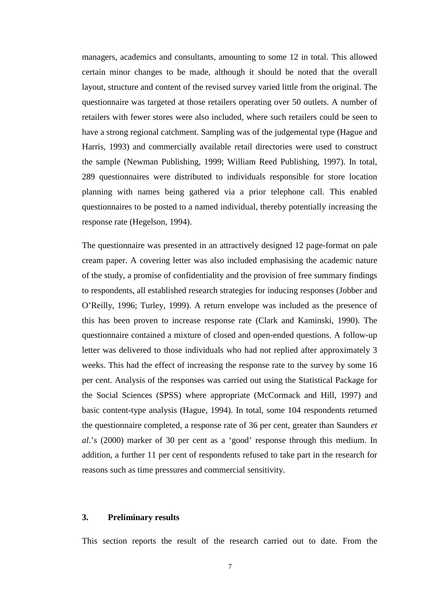managers, academics and consultants, amounting to some 12 in total. This allowed certain minor changes to be made, although it should be noted that the overall layout, structure and content of the revised survey varied little from the original. The questionnaire was targeted at those retailers operating over 50 outlets. A number of retailers with fewer stores were also included, where such retailers could be seen to have a strong regional catchment. Sampling was of the judgemental type (Hague and Harris, 1993) and commercially available retail directories were used to construct the sample (Newman Publishing, 1999; William Reed Publishing, 1997). In total, 289 questionnaires were distributed to individuals responsible for store location planning with names being gathered via a prior telephone call. This enabled questionnaires to be posted to a named individual, thereby potentially increasing the response rate (Hegelson, 1994).

The questionnaire was presented in an attractively designed 12 page-format on pale cream paper. A covering letter was also included emphasising the academic nature of the study, a promise of confidentiality and the provision of free summary findings to respondents, all established research strategies for inducing responses (Jobber and O'Reilly, 1996; Turley, 1999). A return envelope was included as the presence of this has been proven to increase response rate (Clark and Kaminski, 1990). The questionnaire contained a mixture of closed and open-ended questions. A follow-up letter was delivered to those individuals who had not replied after approximately 3 weeks. This had the effect of increasing the response rate to the survey by some 16 per cent. Analysis of the responses was carried out using the Statistical Package for the Social Sciences (SPSS) where appropriate (McCormack and Hill, 1997) and basic content-type analysis (Hague, 1994). In total, some 104 respondents returned the questionnaire completed, a response rate of 36 per cent, greater than Saunders *et al*.'s (2000) marker of 30 per cent as a 'good' response through this medium. In addition, a further 11 per cent of respondents refused to take part in the research for reasons such as time pressures and commercial sensitivity.

#### **3. Preliminary results**

This section reports the result of the research carried out to date. From the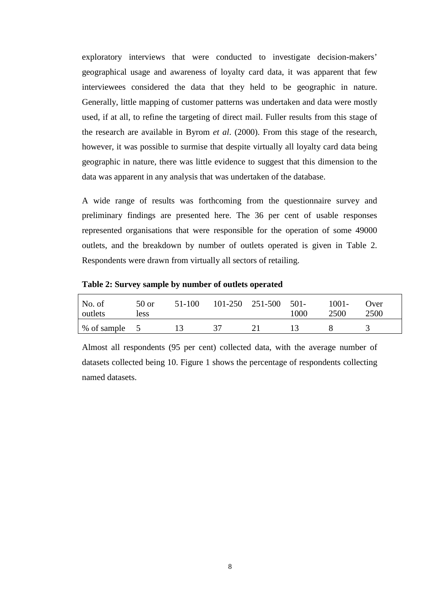exploratory interviews that were conducted to investigate decision-makers' geographical usage and awareness of loyalty card data, it was apparent that few interviewees considered the data that they held to be geographic in nature. Generally, little mapping of customer patterns was undertaken and data were mostly used, if at all, to refine the targeting of direct mail. Fuller results from this stage of the research are available in Byrom *et al*. (2000). From this stage of the research, however, it was possible to surmise that despite virtually all loyalty card data being geographic in nature, there was little evidence to suggest that this dimension to the data was apparent in any analysis that was undertaken of the database.

A wide range of results was forthcoming from the questionnaire survey and preliminary findings are presented here. The 36 per cent of usable responses represented organisations that were responsible for the operation of some 49000 outlets, and the breakdown by number of outlets operated is given in Table 2. Respondents were drawn from virtually all sectors of retailing.

| No. of<br>outlets           | 50 or<br>less | 51-100 | $101-250$ $251-500$ $501-$ | 1000 | $1001 -$<br>2500 | Over<br>2500 |
|-----------------------------|---------------|--------|----------------------------|------|------------------|--------------|
| $\frac{1}{6}$ % of sample 5 |               |        |                            |      |                  |              |

**Table 2: Survey sample by number of outlets operated**

Almost all respondents (95 per cent) collected data, with the average number of datasets collected being 10. Figure 1 shows the percentage of respondents collecting named datasets.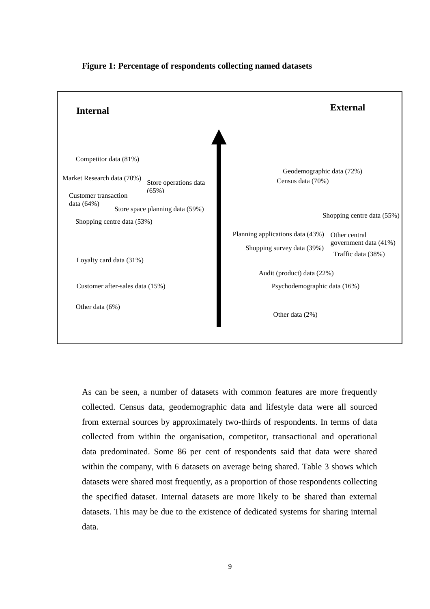

## **Figure 1: Percentage of respondents collecting named datasets**

As can be seen, a number of datasets with common features are more frequently collected. Census data, geodemographic data and lifestyle data were all sourced from external sources by approximately two-thirds of respondents. In terms of data collected from within the organisation, competitor, transactional and operational data predominated. Some 86 per cent of respondents said that data were shared within the company, with 6 datasets on average being shared. Table 3 shows which datasets were shared most frequently, as a proportion of those respondents collecting the specified dataset. Internal datasets are more likely to be shared than external datasets. This may be due to the existence of dedicated systems for sharing internal data.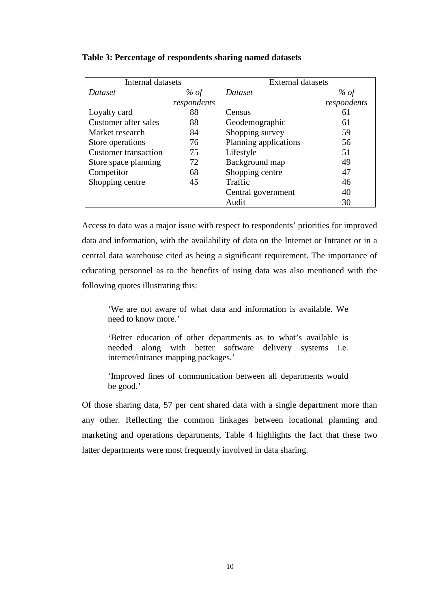| Internal datasets           |             | <b>External datasets</b> |             |  |
|-----------------------------|-------------|--------------------------|-------------|--|
| Dataset                     | % of        | Dataset                  | % $of$      |  |
|                             | respondents |                          | respondents |  |
| Loyalty card                | 88          | Census                   | 61          |  |
| Customer after sales        | 88          | Geodemographic           | 61          |  |
| Market research             | 84          | Shopping survey          | 59          |  |
| Store operations            | 76          | Planning applications    | 56          |  |
| <b>Customer transaction</b> | 75          | Lifestyle                | 51          |  |
| Store space planning        | 72          | Background map           | 49          |  |
| Competitor                  | 68          | Shopping centre          | 47          |  |
| Shopping centre             | 45          | Traffic                  | 46          |  |
|                             |             | Central government       | 40          |  |
|                             |             | Audit                    | 30          |  |

#### **Table 3: Percentage of respondents sharing named datasets**

Access to data was a major issue with respect to respondents' priorities for improved data and information, with the availability of data on the Internet or Intranet or in a central data warehouse cited as being a significant requirement. The importance of educating personnel as to the benefits of using data was also mentioned with the following quotes illustrating this:

'We are not aware of what data and information is available. We need to know more.'

'Better education of other departments as to what's available is needed along with better software delivery systems i.e. internet/intranet mapping packages.'

'Improved lines of communication between all departments would be good.'

Of those sharing data, 57 per cent shared data with a single department more than any other. Reflecting the common linkages between locational planning and marketing and operations departments, Table 4 highlights the fact that these two latter departments were most frequently involved in data sharing.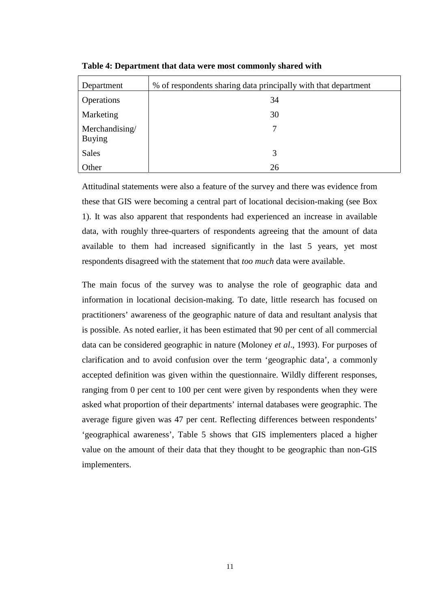| Department                      | % of respondents sharing data principally with that department |
|---------------------------------|----------------------------------------------------------------|
| Operations                      | 34                                                             |
| Marketing                       | 30                                                             |
| Merchandising/<br><b>Buying</b> | 7                                                              |
| <b>Sales</b>                    | 3                                                              |
| Other                           | 26                                                             |

**Table 4: Department that data were most commonly shared with**

Attitudinal statements were also a feature of the survey and there was evidence from these that GIS were becoming a central part of locational decision-making (see Box 1). It was also apparent that respondents had experienced an increase in available data, with roughly three-quarters of respondents agreeing that the amount of data available to them had increased significantly in the last 5 years, yet most respondents disagreed with the statement that *too much* data were available.

The main focus of the survey was to analyse the role of geographic data and information in locational decision-making. To date, little research has focused on practitioners' awareness of the geographic nature of data and resultant analysis that is possible. As noted earlier, it has been estimated that 90 per cent of all commercial data can be considered geographic in nature (Moloney *et al*., 1993). For purposes of clarification and to avoid confusion over the term 'geographic data', a commonly accepted definition was given within the questionnaire. Wildly different responses, ranging from 0 per cent to 100 per cent were given by respondents when they were asked what proportion of their departments' internal databases were geographic. The average figure given was 47 per cent. Reflecting differences between respondents' 'geographical awareness', Table 5 shows that GIS implementers placed a higher value on the amount of their data that they thought to be geographic than non-GIS implementers.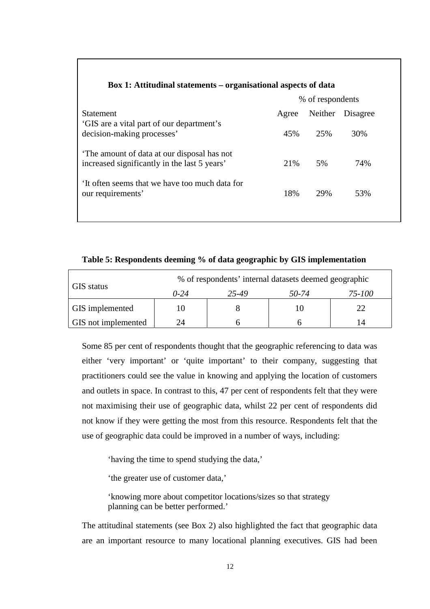| Don 1, Ammuning Summing of Ramsunging uspects of auna                                      |       |                  |          |  |
|--------------------------------------------------------------------------------------------|-------|------------------|----------|--|
|                                                                                            |       | % of respondents |          |  |
| <b>Statement</b>                                                                           | Agree | Neither          | Disagree |  |
| 'GIS are a vital part of our department's<br>decision-making processes'                    | 45%   | 25%              | 30%      |  |
| The amount of data at our disposal has not<br>increased significantly in the last 5 years' | 21\%  | 5%               | 74%      |  |
| It often seems that we have too much data for<br>our requirements'                         | 18%   | 29%              | 53%      |  |
|                                                                                            |       |                  |          |  |

## **Box 1: Attitudinal statements – organisational aspects of data**

**Table 5: Respondents deeming % of data geographic by GIS implementation**

|                     | % of respondents' internal datasets deemed geographic |  |   |        |  |  |  |
|---------------------|-------------------------------------------------------|--|---|--------|--|--|--|
| GIS status          | 50-74<br>$0 - 24$<br>25-49                            |  |   | 75-100 |  |  |  |
| GIS implemented     | 10                                                    |  | Ю |        |  |  |  |
| GIS not implemented | 24                                                    |  |   | 14     |  |  |  |

Some 85 per cent of respondents thought that the geographic referencing to data was either 'very important' or 'quite important' to their company, suggesting that practitioners could see the value in knowing and applying the location of customers and outlets in space. In contrast to this, 47 per cent of respondents felt that they were not maximising their use of geographic data, whilst 22 per cent of respondents did not know if they were getting the most from this resource. Respondents felt that the use of geographic data could be improved in a number of ways, including:

'having the time to spend studying the data,'

'the greater use of customer data,'

'knowing more about competitor locations/sizes so that strategy planning can be better performed.'

The attitudinal statements (see Box 2) also highlighted the fact that geographic data are an important resource to many locational planning executives. GIS had been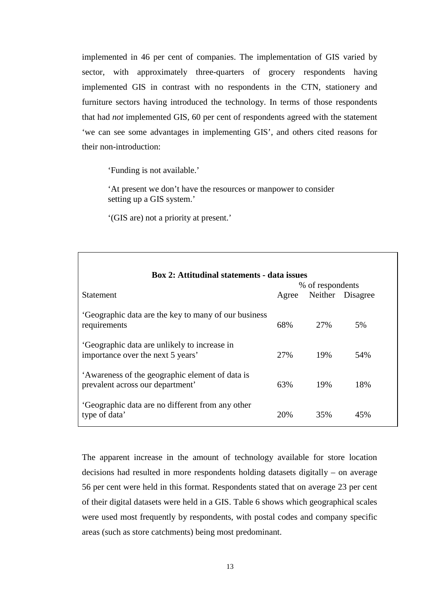implemented in 46 per cent of companies. The implementation of GIS varied by sector, with approximately three-quarters of grocery respondents having implemented GIS in contrast with no respondents in the CTN, stationery and furniture sectors having introduced the technology. In terms of those respondents that had *not* implemented GIS, 60 per cent of respondents agreed with the statement 'we can see some advantages in implementing GIS', and others cited reasons for their non-introduction:

'Funding is not available.'

Г

'At present we don't have the resources or manpower to consider setting up a GIS system.'

'(GIS are) not a priority at present.'

| <b>Box 2: Attitudinal statements - data issues</b>                                  |                  |     |                  |  |  |
|-------------------------------------------------------------------------------------|------------------|-----|------------------|--|--|
|                                                                                     | % of respondents |     |                  |  |  |
| <b>Statement</b>                                                                    | Agree            |     | Neither Disagree |  |  |
| 'Geographic data are the key to many of our business<br>requirements                | 68%              | 27% | 5%               |  |  |
| 'Geographic data are unlikely to increase in<br>importance over the next 5 years'   | 27%              | 19% | 54%              |  |  |
| 'Awareness of the geographic element of data is<br>prevalent across our department' | 63%              | 19% | 18%              |  |  |
| 'Geographic data are no different from any other<br>type of data'                   | 20%              | 35% | 45%              |  |  |

The apparent increase in the amount of technology available for store location decisions had resulted in more respondents holding datasets digitally – on average 56 per cent were held in this format. Respondents stated that on average 23 per cent of their digital datasets were held in a GIS. Table 6 shows which geographical scales were used most frequently by respondents, with postal codes and company specific areas (such as store catchments) being most predominant.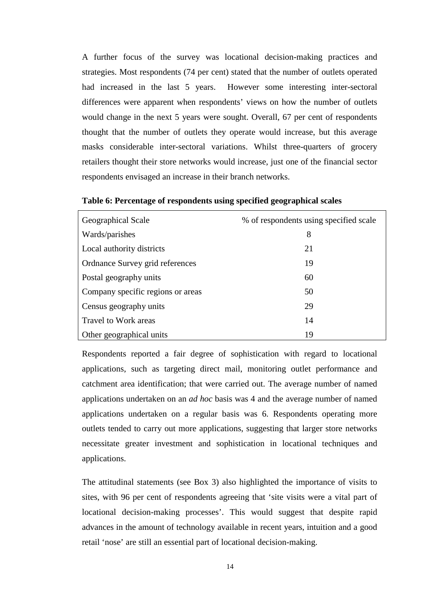A further focus of the survey was locational decision-making practices and strategies. Most respondents (74 per cent) stated that the number of outlets operated had increased in the last 5 years. However some interesting inter-sectoral differences were apparent when respondents' views on how the number of outlets would change in the next 5 years were sought. Overall, 67 per cent of respondents thought that the number of outlets they operate would increase, but this average masks considerable inter-sectoral variations. Whilst three-quarters of grocery retailers thought their store networks would increase, just one of the financial sector respondents envisaged an increase in their branch networks.

| Geographical Scale                | % of respondents using specified scale |
|-----------------------------------|----------------------------------------|
| Wards/parishes                    | 8                                      |
| Local authority districts         | 21                                     |
| Ordnance Survey grid references   | 19                                     |
| Postal geography units            | 60                                     |
| Company specific regions or areas | 50                                     |
| Census geography units            | 29                                     |
| Travel to Work areas              | 14                                     |
| Other geographical units          | 19                                     |

**Table 6: Percentage of respondents using specified geographical scales**

Respondents reported a fair degree of sophistication with regard to locational applications, such as targeting direct mail, monitoring outlet performance and catchment area identification; that were carried out. The average number of named applications undertaken on an *ad hoc* basis was 4 and the average number of named applications undertaken on a regular basis was 6. Respondents operating more outlets tended to carry out more applications, suggesting that larger store networks necessitate greater investment and sophistication in locational techniques and applications.

The attitudinal statements (see Box 3) also highlighted the importance of visits to sites, with 96 per cent of respondents agreeing that 'site visits were a vital part of locational decision-making processes'. This would suggest that despite rapid advances in the amount of technology available in recent years, intuition and a good retail 'nose' are still an essential part of locational decision-making.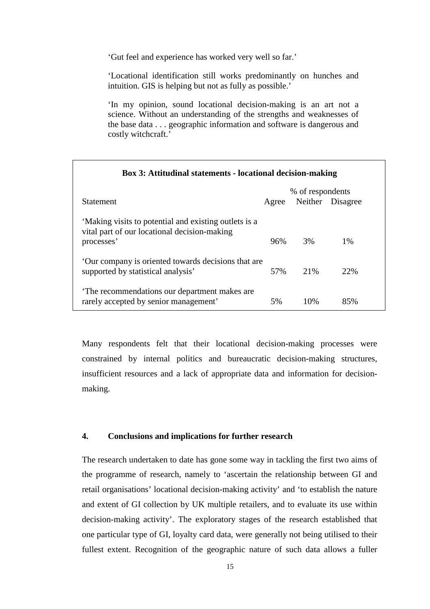'Gut feel and experience has worked very well so far.'

'Locational identification still works predominantly on hunches and intuition. GIS is helping but not as fully as possible.'

'In my opinion, sound locational decision-making is an art not a science. Without an understanding of the strengths and weaknesses of the base data . . . geographic information and software is dangerous and costly witchcraft.'

| Box 3: Attitudinal statements - locational decision-making                                            |       |                  |                  |  |  |
|-------------------------------------------------------------------------------------------------------|-------|------------------|------------------|--|--|
|                                                                                                       |       | % of respondents |                  |  |  |
| <b>Statement</b>                                                                                      | Agree |                  | Neither Disagree |  |  |
| 'Making visits to potential and existing outlets is a<br>vital part of our locational decision-making |       |                  |                  |  |  |
| processes'                                                                                            | 96%   | 3%               | 1%               |  |  |
| Our company is oriented towards decisions that are<br>supported by statistical analysis'              | 57%   | 21\%             | 22%              |  |  |
| The recommendations our department makes are<br>rarely accepted by senior management'                 | 5%    | 10\%             | 85%              |  |  |

Many respondents felt that their locational decision-making processes were constrained by internal politics and bureaucratic decision-making structures, insufficient resources and a lack of appropriate data and information for decisionmaking.

### **4. Conclusions and implications for further research**

The research undertaken to date has gone some way in tackling the first two aims of the programme of research, namely to 'ascertain the relationship between GI and retail organisations' locational decision-making activity' and 'to establish the nature and extent of GI collection by UK multiple retailers, and to evaluate its use within decision-making activity'. The exploratory stages of the research established that one particular type of GI, loyalty card data, were generally not being utilised to their fullest extent. Recognition of the geographic nature of such data allows a fuller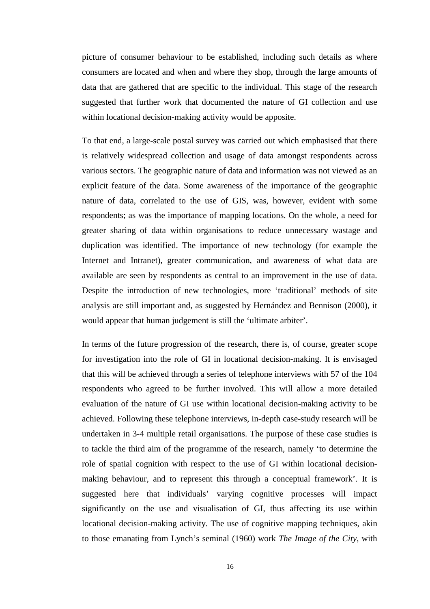picture of consumer behaviour to be established, including such details as where consumers are located and when and where they shop, through the large amounts of data that are gathered that are specific to the individual. This stage of the research suggested that further work that documented the nature of GI collection and use within locational decision-making activity would be apposite.

To that end, a large-scale postal survey was carried out which emphasised that there is relatively widespread collection and usage of data amongst respondents across various sectors. The geographic nature of data and information was not viewed as an explicit feature of the data. Some awareness of the importance of the geographic nature of data, correlated to the use of GIS, was, however, evident with some respondents; as was the importance of mapping locations. On the whole, a need for greater sharing of data within organisations to reduce unnecessary wastage and duplication was identified. The importance of new technology (for example the Internet and Intranet), greater communication, and awareness of what data are available are seen by respondents as central to an improvement in the use of data. Despite the introduction of new technologies, more 'traditional' methods of site analysis are still important and, as suggested by Hernández and Bennison (2000), it would appear that human judgement is still the 'ultimate arbiter'.

In terms of the future progression of the research, there is, of course, greater scope for investigation into the role of GI in locational decision-making. It is envisaged that this will be achieved through a series of telephone interviews with 57 of the 104 respondents who agreed to be further involved. This will allow a more detailed evaluation of the nature of GI use within locational decision-making activity to be achieved. Following these telephone interviews, in-depth case-study research will be undertaken in 3-4 multiple retail organisations. The purpose of these case studies is to tackle the third aim of the programme of the research, namely 'to determine the role of spatial cognition with respect to the use of GI within locational decisionmaking behaviour, and to represent this through a conceptual framework'. It is suggested here that individuals' varying cognitive processes will impact significantly on the use and visualisation of GI, thus affecting its use within locational decision-making activity. The use of cognitive mapping techniques, akin to those emanating from Lynch's seminal (1960) work *The Image of the City*, with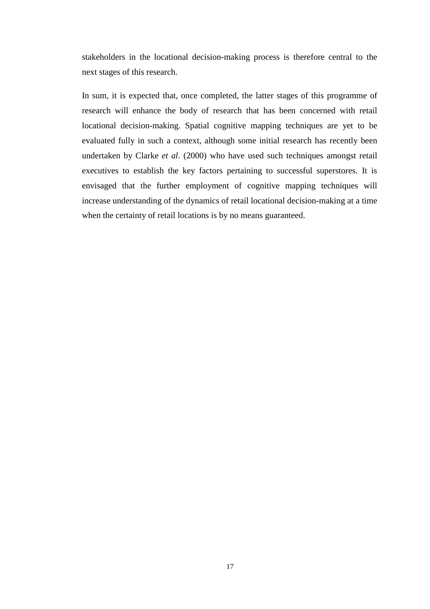stakeholders in the locational decision-making process is therefore central to the next stages of this research.

In sum, it is expected that, once completed, the latter stages of this programme of research will enhance the body of research that has been concerned with retail locational decision-making. Spatial cognitive mapping techniques are yet to be evaluated fully in such a context, although some initial research has recently been undertaken by Clarke *et al*. (2000) who have used such techniques amongst retail executives to establish the key factors pertaining to successful superstores. It is envisaged that the further employment of cognitive mapping techniques will increase understanding of the dynamics of retail locational decision-making at a time when the certainty of retail locations is by no means guaranteed.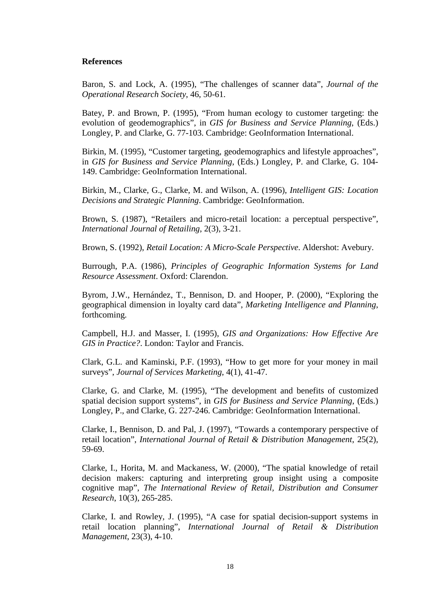#### **References**

Baron, S. and Lock, A. (1995), "The challenges of scanner data", *Journal of the Operational Research Society*, 46, 50-61.

Batey, P. and Brown, P. (1995), "From human ecology to customer targeting: the evolution of geodemographics", in *GIS for Business and Service Planning*, (Eds.) Longley, P. and Clarke, G. 77-103. Cambridge: GeoInformation International.

Birkin, M. (1995), "Customer targeting, geodemographics and lifestyle approaches", in *GIS for Business and Service Planning*, (Eds.) Longley, P. and Clarke, G. 104- 149. Cambridge: GeoInformation International.

Birkin, M., Clarke, G., Clarke, M. and Wilson, A. (1996), *Intelligent GIS: Location Decisions and Strategic Planning*. Cambridge: GeoInformation.

Brown, S. (1987), "Retailers and micro-retail location: a perceptual perspective", *International Journal of Retailing*, 2(3), 3-21.

Brown, S. (1992), *Retail Location: A Micro-Scale Perspective*. Aldershot: Avebury.

Burrough, P.A. (1986), *Principles of Geographic Information Systems for Land Resource Assessment*. Oxford: Clarendon.

Byrom, J.W., Hernández, T., Bennison, D. and Hooper, P. (2000), "Exploring the geographical dimension in loyalty card data", *Marketing Intelligence and Planning*, forthcoming.

Campbell, H.J. and Masser, I. (1995), *GIS and Organizations: How Effective Are GIS in Practice?*. London: Taylor and Francis.

Clark, G.L. and Kaminski, P.F. (1993), "How to get more for your money in mail surveys", *Journal of Services Marketing*, 4(1), 41-47.

Clarke, G. and Clarke, M. (1995), "The development and benefits of customized spatial decision support systems", in *GIS for Business and Service Planning*, (Eds.) Longley, P., and Clarke, G. 227-246. Cambridge: GeoInformation International.

Clarke, I., Bennison, D. and Pal, J. (1997), "Towards a contemporary perspective of retail location", *International Journal of Retail & Distribution Management*, 25(2), 59-69.

Clarke, I., Horita, M. and Mackaness, W. (2000), "The spatial knowledge of retail decision makers: capturing and interpreting group insight using a composite cognitive map", *The International Review of Retail, Distribution and Consumer Research*, 10(3), 265-285.

Clarke, I. and Rowley, J. (1995), "A case for spatial decision-support systems in retail location planning", *International Journal of Retail & Distribution Management*, 23(3), 4-10.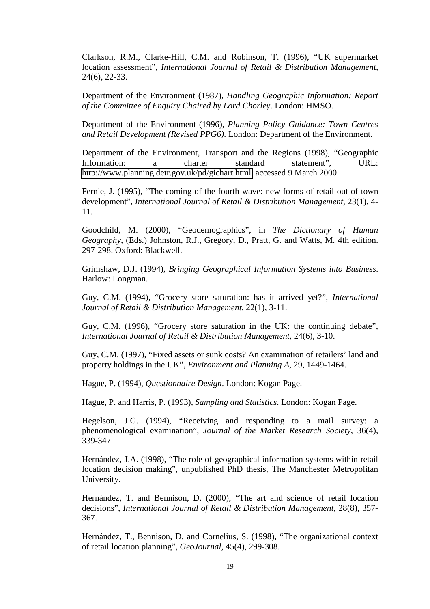Clarkson, R.M., Clarke-Hill, C.M. and Robinson, T. (1996), "UK supermarket location assessment", *International Journal of Retail & Distribution Management*, 24(6), 22-33.

Department of the Environment (1987), *Handling Geographic Information: Report of the Committee of Enquiry Chaired by Lord Chorley*. London: HMSO.

Department of the Environment (1996), *Planning Policy Guidance: Town Centres and Retail Development (Revised PPG6)*. London: Department of the Environment.

Department of the Environment, Transport and the Regions (1998), "Geographic Information: a charter standard statement", URL: [http://www.planning.detr.gov.uk/pd/gichart.html,](http://www.planning.detr.gov.uk/pd/gichart.html) accessed 9 March 2000.

Fernie, J. (1995), "The coming of the fourth wave: new forms of retail out-of-town development", *International Journal of Retail & Distribution Management*, 23(1), 4- 11.

Goodchild, M. (2000), "Geodemographics", in *The Dictionary of Human Geography*, (Eds.) Johnston, R.J., Gregory, D., Pratt, G. and Watts, M. 4th edition. 297-298. Oxford: Blackwell.

Grimshaw, D.J. (1994), *Bringing Geographical Information Systems into Business*. Harlow: Longman.

Guy, C.M. (1994), "Grocery store saturation: has it arrived yet?", *International Journal of Retail & Distribution Management*, 22(1), 3-11.

Guy, C.M. (1996), "Grocery store saturation in the UK: the continuing debate", *International Journal of Retail & Distribution Management*, 24(6), 3-10.

Guy, C.M. (1997), "Fixed assets or sunk costs? An examination of retailers' land and property holdings in the UK", *Environment and Planning A*, 29, 1449-1464.

Hague, P. (1994), *Questionnaire Design*. London: Kogan Page.

Hague, P. and Harris, P. (1993), *Sampling and Statistics*. London: Kogan Page.

Hegelson, J.G. (1994), "Receiving and responding to a mail survey: a phenomenological examination", *Journal of the Market Research Society*, 36(4), 339-347.

Hernández, J.A. (1998), "The role of geographical information systems within retail location decision making", unpublished PhD thesis, The Manchester Metropolitan University.

Hernández, T. and Bennison, D. (2000), "The art and science of retail location decisions", *International Journal of Retail & Distribution Management*, 28(8), 357- 367.

Hernández, T., Bennison, D. and Cornelius, S. (1998), "The organizational context of retail location planning", *GeoJournal*, 45(4), 299-308.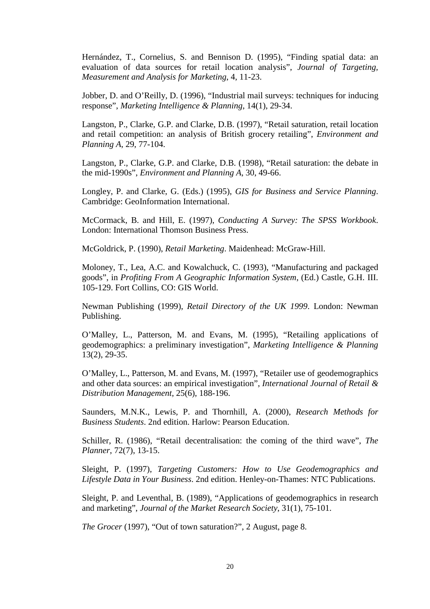Hernández, T., Cornelius, S. and Bennison D. (1995), "Finding spatial data: an evaluation of data sources for retail location analysis", *Journal of Targeting, Measurement and Analysis for Marketing*, 4, 11-23.

Jobber, D. and O'Reilly, D. (1996), "Industrial mail surveys: techniques for inducing response", *Marketing Intelligence & Planning*, 14(1), 29-34.

Langston, P., Clarke, G.P. and Clarke, D.B. (1997), "Retail saturation, retail location and retail competition: an analysis of British grocery retailing", *Environment and Planning A*, 29, 77-104.

Langston, P., Clarke, G.P. and Clarke, D.B. (1998), "Retail saturation: the debate in the mid-1990s", *Environment and Planning A*, 30, 49-66.

Longley, P. and Clarke, G. (Eds.) (1995), *GIS for Business and Service Planning*. Cambridge: GeoInformation International.

McCormack, B. and Hill, E. (1997), *Conducting A Survey: The SPSS Workbook*. London: International Thomson Business Press.

McGoldrick, P. (1990), *Retail Marketing*. Maidenhead: McGraw-Hill.

Moloney, T., Lea, A.C. and Kowalchuck, C. (1993), "Manufacturing and packaged goods", in *Profiting From A Geographic Information System*, (Ed.) Castle, G.H. III. 105-129. Fort Collins, CO: GIS World.

Newman Publishing (1999), *Retail Directory of the UK 1999*. London: Newman Publishing.

O'Malley, L., Patterson, M. and Evans, M. (1995), "Retailing applications of geodemographics: a preliminary investigation", *Marketing Intelligence & Planning* 13(2), 29-35.

O'Malley, L., Patterson, M. and Evans, M. (1997), "Retailer use of geodemographics and other data sources: an empirical investigation", *International Journal of Retail & Distribution Management*, 25(6), 188-196.

Saunders, M.N.K., Lewis, P. and Thornhill, A. (2000), *Research Methods for Business Students*. 2nd edition. Harlow: Pearson Education.

Schiller, R. (1986), "Retail decentralisation: the coming of the third wave", *The Planner*, 72(7), 13-15.

Sleight, P. (1997), *Targeting Customers: How to Use Geodemographics and Lifestyle Data in Your Business*. 2nd edition. Henley-on-Thames: NTC Publications.

Sleight, P. and Leventhal, B. (1989), "Applications of geodemographics in research and marketing", *Journal of the Market Research Society*, 31(1), 75-101.

*The Grocer* (1997), "Out of town saturation?", 2 August, page 8.